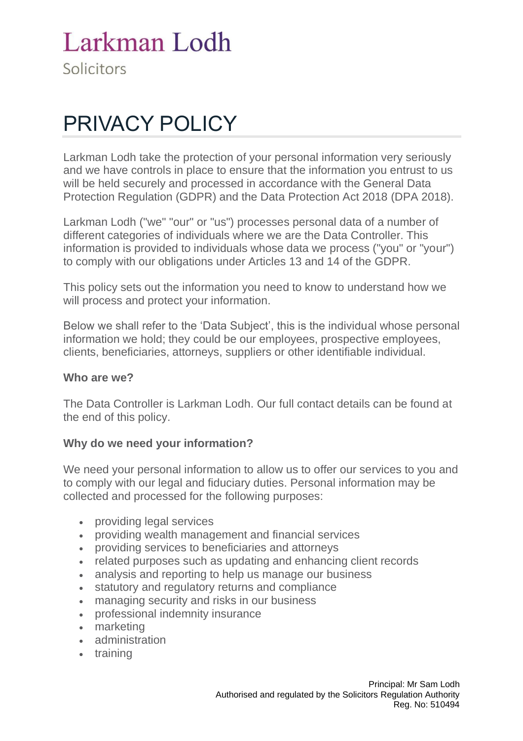# Larkman Lodh Solicitors

# PRIVACY POLICY

Larkman Lodh take the protection of your personal information very seriously and we have controls in place to ensure that the information you entrust to us will be held securely and processed in accordance with the General Data Protection Regulation (GDPR) and the Data Protection Act 2018 (DPA 2018).

Larkman Lodh ("we" "our" or "us") processes personal data of a number of different categories of individuals where we are the Data Controller. This information is provided to individuals whose data we process ("you" or "your") to comply with our obligations under Articles 13 and 14 of the GDPR.

This policy sets out the information you need to know to understand how we will process and protect your information.

Below we shall refer to the 'Data Subject', this is the individual whose personal information we hold; they could be our employees, prospective employees, clients, beneficiaries, attorneys, suppliers or other identifiable individual.

#### **Who are we?**

The Data Controller is Larkman Lodh. Our full contact details can be found at the end of this policy.

#### **Why do we need your information?**

We need your personal information to allow us to offer our services to you and to comply with our legal and fiduciary duties. Personal information may be collected and processed for the following purposes:

- providing legal services
- providing wealth management and financial services
- providing services to beneficiaries and attorneys
- related purposes such as updating and enhancing client records
- analysis and reporting to help us manage our business
- statutory and regulatory returns and compliance
- managing security and risks in our business
- professional indemnity insurance
- marketing
- administration
- training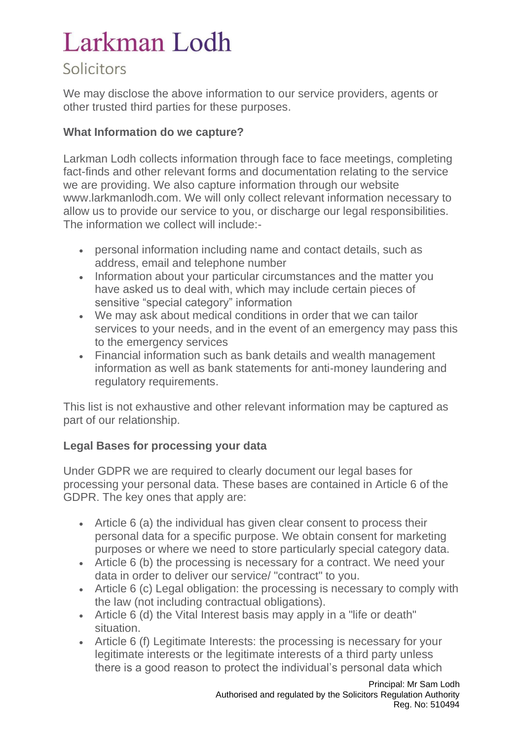# Solicitors

We may disclose the above information to our service providers, agents or other trusted third parties for these purposes.

## **What Information do we capture?**

Larkman Lodh collects information through face to face meetings, completing fact-finds and other relevant forms and documentation relating to the service we are providing. We also capture information through our website www.larkmanlodh.com. We will only collect relevant information necessary to allow us to provide our service to you, or discharge our legal responsibilities. The information we collect will include:-

- personal information including name and contact details, such as address, email and telephone number
- Information about your particular circumstances and the matter you have asked us to deal with, which may include certain pieces of sensitive "special category" information
- We may ask about medical conditions in order that we can tailor services to your needs, and in the event of an emergency may pass this to the emergency services
- Financial information such as bank details and wealth management information as well as bank statements for anti-money laundering and regulatory requirements.

This list is not exhaustive and other relevant information may be captured as part of our relationship.

# **Legal Bases for processing your data**

Under GDPR we are required to clearly document our legal bases for processing your personal data. These bases are contained in Article 6 of the GDPR. The key ones that apply are:

- Article 6 (a) the individual has given clear consent to process their personal data for a specific purpose. We obtain consent for marketing purposes or where we need to store particularly special category data.
- Article 6 (b) the processing is necessary for a contract. We need your data in order to deliver our service/ "contract" to you.
- Article 6 (c) Legal obligation: the processing is necessary to comply with the law (not including contractual obligations).
- Article 6 (d) the Vital Interest basis may apply in a "life or death" situation.
- Article 6 (f) Legitimate Interests: the processing is necessary for your legitimate interests or the legitimate interests of a third party unless there is a good reason to protect the individual's personal data which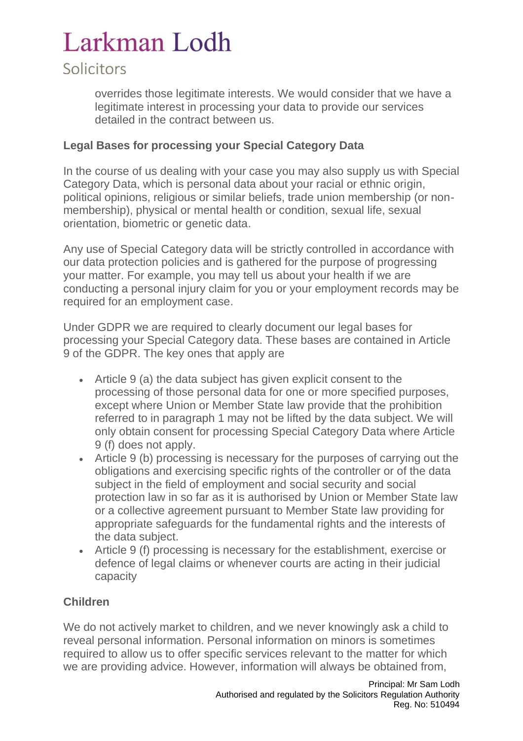# Solicitors

overrides those legitimate interests. We would consider that we have a legitimate interest in processing your data to provide our services detailed in the contract between us.

### **Legal Bases for processing your Special Category Data**

In the course of us dealing with your case you may also supply us with Special Category Data, which is personal data about your racial or ethnic origin, political opinions, religious or similar beliefs, trade union membership (or nonmembership), physical or mental health or condition, sexual life, sexual orientation, biometric or genetic data.

Any use of Special Category data will be strictly controlled in accordance with our data protection policies and is gathered for the purpose of progressing your matter. For example, you may tell us about your health if we are conducting a personal injury claim for you or your employment records may be required for an employment case.

Under GDPR we are required to clearly document our legal bases for processing your Special Category data. These bases are contained in Article 9 of the GDPR. The key ones that apply are

- Article 9 (a) the data subject has given explicit consent to the processing of those personal data for one or more specified purposes, except where Union or Member State law provide that the prohibition referred to in paragraph 1 may not be lifted by the data subject. We will only obtain consent for processing Special Category Data where Article 9 (f) does not apply.
- Article 9 (b) processing is necessary for the purposes of carrying out the obligations and exercising specific rights of the controller or of the data subject in the field of employment and social security and social protection law in so far as it is authorised by Union or Member State law or a collective agreement pursuant to Member State law providing for appropriate safeguards for the fundamental rights and the interests of the data subject.
- Article 9 (f) processing is necessary for the establishment, exercise or defence of legal claims or whenever courts are acting in their judicial capacity

# **Children**

We do not actively market to children, and we never knowingly ask a child to reveal personal information. Personal information on minors is sometimes required to allow us to offer specific services relevant to the matter for which we are providing advice. However, information will always be obtained from,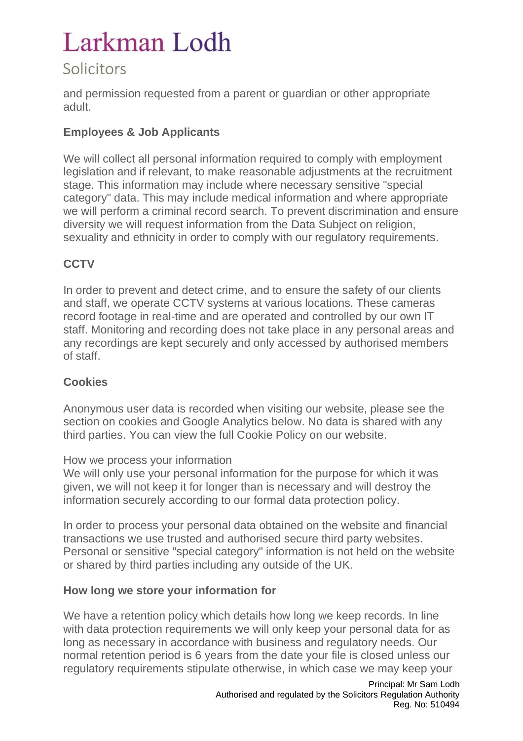# Solicitors

and permission requested from a parent or guardian or other appropriate adult.

# **Employees & Job Applicants**

We will collect all personal information required to comply with employment legislation and if relevant, to make reasonable adjustments at the recruitment stage. This information may include where necessary sensitive "special category" data. This may include medical information and where appropriate we will perform a criminal record search. To prevent discrimination and ensure diversity we will request information from the Data Subject on religion, sexuality and ethnicity in order to comply with our regulatory requirements.

## **CCTV**

In order to prevent and detect crime, and to ensure the safety of our clients and staff, we operate CCTV systems at various locations. These cameras record footage in real-time and are operated and controlled by our own IT staff. Monitoring and recording does not take place in any personal areas and any recordings are kept securely and only accessed by authorised members of staff.

### **Cookies**

Anonymous user data is recorded when visiting our website, please see the section on cookies and Google Analytics below. No data is shared with any third parties. You can view the full Cookie Policy on our website.

#### How we process your information

We will only use your personal information for the purpose for which it was given, we will not keep it for longer than is necessary and will destroy the information securely according to our formal data protection policy.

In order to process your personal data obtained on the website and financial transactions we use trusted and authorised secure third party websites. Personal or sensitive "special category" information is not held on the website or shared by third parties including any outside of the UK.

### **How long we store your information for**

We have a retention policy which details how long we keep records. In line with data protection requirements we will only keep your personal data for as long as necessary in accordance with business and regulatory needs. Our normal retention period is 6 years from the date your file is closed unless our regulatory requirements stipulate otherwise, in which case we may keep your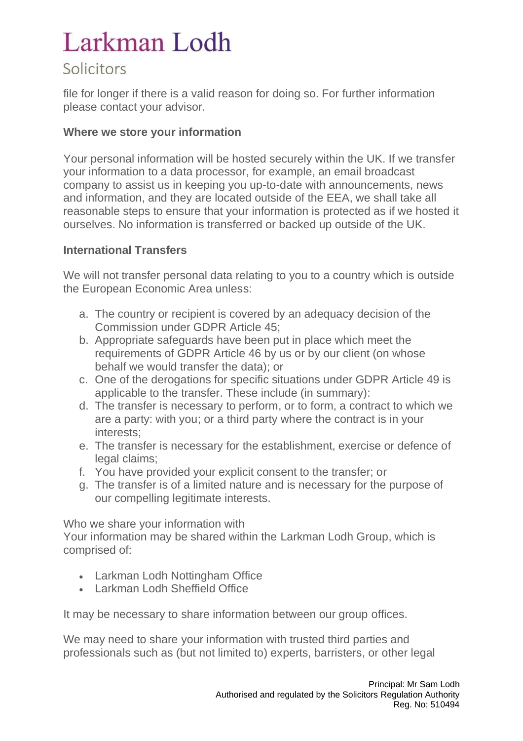# Solicitors

file for longer if there is a valid reason for doing so. For further information please contact your advisor.

### **Where we store your information**

Your personal information will be hosted securely within the UK. If we transfer your information to a data processor, for example, an email broadcast company to assist us in keeping you up-to-date with announcements, news and information, and they are located outside of the EEA, we shall take all reasonable steps to ensure that your information is protected as if we hosted it ourselves. No information is transferred or backed up outside of the UK.

#### **International Transfers**

We will not transfer personal data relating to you to a country which is outside the European Economic Area unless:

- a. The country or recipient is covered by an adequacy decision of the Commission under GDPR Article 45;
- b. Appropriate safeguards have been put in place which meet the requirements of GDPR Article 46 by us or by our client (on whose behalf we would transfer the data); or
- c. One of the derogations for specific situations under GDPR Article 49 is applicable to the transfer. These include (in summary):
- d. The transfer is necessary to perform, or to form, a contract to which we are a party: with you; or a third party where the contract is in your interests;
- e. The transfer is necessary for the establishment, exercise or defence of legal claims;
- f. You have provided your explicit consent to the transfer; or
- g. The transfer is of a limited nature and is necessary for the purpose of our compelling legitimate interests.

Who we share your information with

Your information may be shared within the Larkman Lodh Group, which is comprised of:

- Larkman Lodh Nottingham Office
- Larkman Lodh Sheffield Office

It may be necessary to share information between our group offices.

We may need to share your information with trusted third parties and professionals such as (but not limited to) experts, barristers, or other legal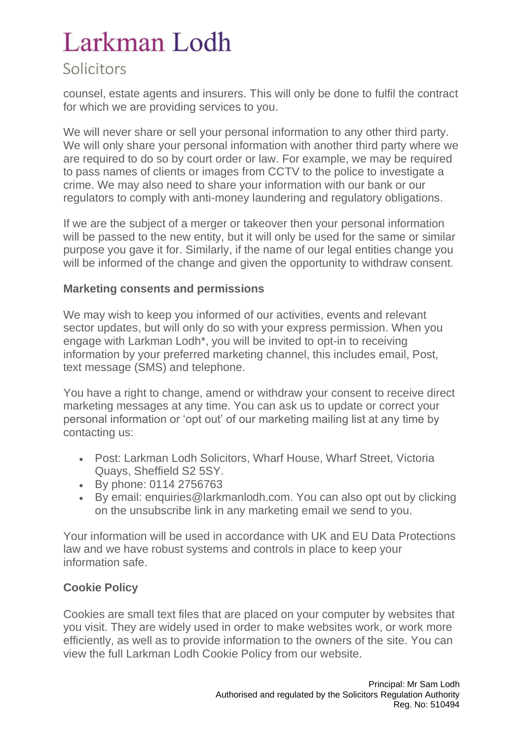# Solicitors

counsel, estate agents and insurers. This will only be done to fulfil the contract for which we are providing services to you.

We will never share or sell your personal information to any other third party. We will only share your personal information with another third party where we are required to do so by court order or law. For example, we may be required to pass names of clients or images from CCTV to the police to investigate a crime. We may also need to share your information with our bank or our regulators to comply with anti-money laundering and regulatory obligations.

If we are the subject of a merger or takeover then your personal information will be passed to the new entity, but it will only be used for the same or similar purpose you gave it for. Similarly, if the name of our legal entities change you will be informed of the change and given the opportunity to withdraw consent.

### **Marketing consents and permissions**

We may wish to keep you informed of our activities, events and relevant sector updates, but will only do so with your express permission. When you engage with Larkman Lodh\*, you will be invited to opt-in to receiving information by your preferred marketing channel, this includes email, Post, text message (SMS) and telephone.

You have a right to change, amend or withdraw your consent to receive direct marketing messages at any time. You can ask us to update or correct your personal information or 'opt out' of our marketing mailing list at any time by contacting us:

- Post: Larkman Lodh Solicitors, Wharf House, Wharf Street, Victoria Quays, Sheffield S2 5SY.
- By phone: 0114 2756763
- By email: enquiries@larkmanlodh.com. You can also opt out by clicking on the unsubscribe link in any marketing email we send to you.

Your information will be used in accordance with UK and EU Data Protections law and we have robust systems and controls in place to keep your information safe.

#### **Cookie Policy**

Cookies are small text files that are placed on your computer by websites that you visit. They are widely used in order to make websites work, or work more efficiently, as well as to provide information to the owners of the site. You can view the full Larkman Lodh Cookie Policy from our website.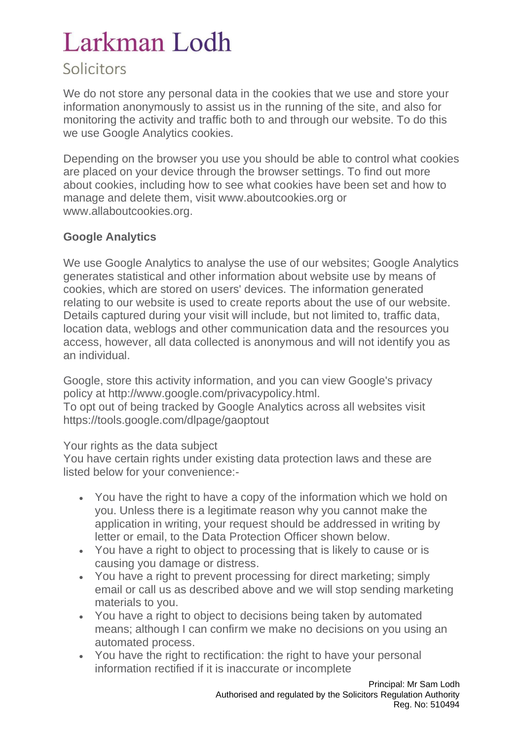# Solicitors

We do not store any personal data in the cookies that we use and store your information anonymously to assist us in the running of the site, and also for monitoring the activity and traffic both to and through our website. To do this we use Google Analytics cookies.

Depending on the browser you use you should be able to control what cookies are placed on your device through the browser settings. To find out more about cookies, including how to see what cookies have been set and how to manage and delete them, visit www.aboutcookies.org or www.allaboutcookies.org.

## **Google Analytics**

We use Google Analytics to analyse the use of our websites; Google Analytics generates statistical and other information about website use by means of cookies, which are stored on users' devices. The information generated relating to our website is used to create reports about the use of our website. Details captured during your visit will include, but not limited to, traffic data, location data, weblogs and other communication data and the resources you access, however, all data collected is anonymous and will not identify you as an individual.

Google, store this activity information, and you can view Google's privacy policy at http://www.google.com/privacypolicy.html. To opt out of being tracked by Google Analytics across all websites visit https://tools.google.com/dlpage/gaoptout

#### Your rights as the data subject

You have certain rights under existing data protection laws and these are listed below for your convenience:-

- You have the right to have a copy of the information which we hold on you. Unless there is a legitimate reason why you cannot make the application in writing, your request should be addressed in writing by letter or email, to the Data Protection Officer shown below.
- You have a right to object to processing that is likely to cause or is causing you damage or distress.
- You have a right to prevent processing for direct marketing; simply email or call us as described above and we will stop sending marketing materials to you.
- You have a right to object to decisions being taken by automated means; although I can confirm we make no decisions on you using an automated process.
- You have the right to rectification: the right to have your personal information rectified if it is inaccurate or incomplete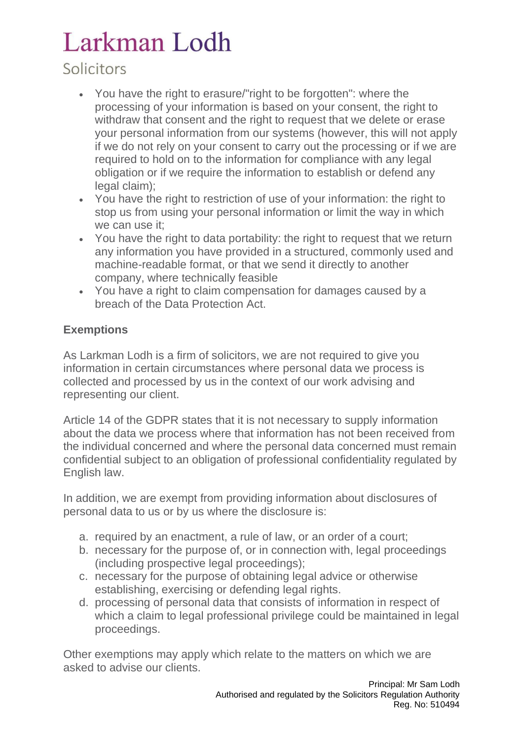# Solicitors

- You have the right to erasure/"right to be forgotten": where the processing of your information is based on your consent, the right to withdraw that consent and the right to request that we delete or erase your personal information from our systems (however, this will not apply if we do not rely on your consent to carry out the processing or if we are required to hold on to the information for compliance with any legal obligation or if we require the information to establish or defend any legal claim);
- You have the right to restriction of use of your information: the right to stop us from using your personal information or limit the way in which we can use it;
- You have the right to data portability: the right to request that we return any information you have provided in a structured, commonly used and machine-readable format, or that we send it directly to another company, where technically feasible
- You have a right to claim compensation for damages caused by a breach of the Data Protection Act.

# **Exemptions**

As Larkman Lodh is a firm of solicitors, we are not required to give you information in certain circumstances where personal data we process is collected and processed by us in the context of our work advising and representing our client.

Article 14 of the GDPR states that it is not necessary to supply information about the data we process where that information has not been received from the individual concerned and where the personal data concerned must remain confidential subject to an obligation of professional confidentiality regulated by English law.

In addition, we are exempt from providing information about disclosures of personal data to us or by us where the disclosure is:

- a. required by an enactment, a rule of law, or an order of a court;
- b. necessary for the purpose of, or in connection with, legal proceedings (including prospective legal proceedings);
- c. necessary for the purpose of obtaining legal advice or otherwise establishing, exercising or defending legal rights.
- d. processing of personal data that consists of information in respect of which a claim to legal professional privilege could be maintained in legal proceedings.

Other exemptions may apply which relate to the matters on which we are asked to advise our clients.